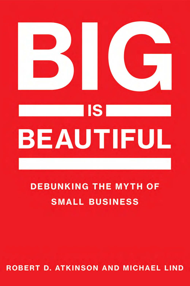

# **IST** BEAUTIFUL

# **DEBUNKING THE MYTH OF SMALL BUSINESS**

**ROBERT D. ATKINSON AND MICHAEL LIND**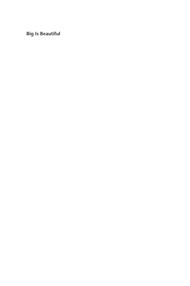# **Big Is Beautiful**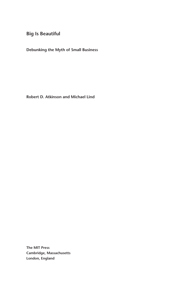**Big Is Beautiful**

**Debunking the Myth of Small Business**

**Robert D. Atkinson and Michael Lind**

**The MIT Press Cambridge, Massachusetts London, England**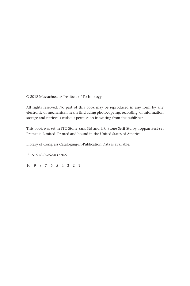© 2018 Massachusetts Institute of Technology

All rights reserved. No part of this book may be reproduced in any form by any electronic or mechanical means (including photocopying, recording, or information storage and retrieval) without permission in writing from the publisher.

This book was set in ITC Stone Sans Std and ITC Stone Serif Std by Toppan Best-set Premedia Limited. Printed and bound in the United States of America.

Library of Congress Cataloging-in-Publication Data is available.

ISBN: 978-0-262-03770-9

10 9 8 7 6 5 4 3 2 1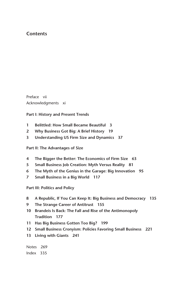# **Contents**

Preface [vii](#page-5-0) Acknowledgments [xi](#page-8-0)

#### **Part I: History and Present Trends**

- **1 Belittled: How Small Became Beautiful [3](#page-10-0)**
- **2 Why Business Got Big: A Brief History 19**
- **3 Understanding US Firm Size and Dynamics 37**

**Part II: The Advantages of Size**

- **4 The Bigger the Better: The Economics of Firm Size 63**
- **5 Small Business Job Creation: Myth Versus Reality 81**
- **6 The Myth of the Genius in the Garage: Big Innovation 95**
- **7 Small Business in a Big World 117**

**Part III: Politics and Policy**

- **8 A Republic, If You Can Keep It: Big Business and Democracy 135**
- **9 The Strange Career of Antitrust 155**
- **10 Brandeis Is Back: The Fall and Rise of the Antimonopoly Tradition 177**
- **11 Has Big Business Gotten Too Big? 199**
- **12 Small Business Cronyism: Policies Favoring Small Business 221**
- **13 Living with Giants 241**

Notes 269 Index 335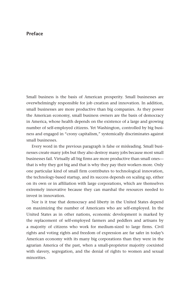## <span id="page-5-0"></span>**Preface**

Small business is the basis of American prosperity. Small businesses are overwhelmingly responsible for job creation and innovation. In addition, small businesses are more productive than big companies. As they power the American economy, small business owners are the basis of democracy in America, whose health depends on the existence of a large and growing number of self-employed citizens. Yet Washington, controlled by big business and engaged in "crony capitalism," systemically discriminates against small businesses.

Every word in the previous paragraph is false or misleading. Small businesses create many jobs but they also destroy many jobs because most small businesses fail. Virtually all big firms are more productive than small ones that is why they got big and that is why they pay their workers more. Only one particular kind of small firm contributes to technological innovation, the technology-based startup, and its success depends on scaling up, either on its own or in affiliation with large corporations, which are themselves extremely innovative because they can marshal the resources needed to invest in innovation.

Nor is it true that democracy and liberty in the United States depend on maximizing the number of Americans who are self-employed. In the United States as in other nations, economic development is marked by the replacement of self-employed farmers and peddlers and artisans by a majority of citizens who work for medium-sized to large firms. Civil rights and voting rights and freedom of expression are far safer in today's American economy with its many big corporations than they were in the agrarian America of the past, when a small-proprietor majority coexisted with slavery, segregation, and the denial of rights to women and sexual minorities.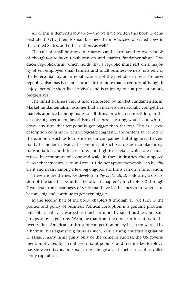All of this is demonstrably true—and we have written this book to demonstrate it. Why, then, is small business the most sacred of sacred cows in the United States, and other nations as well?

The cult of small business in America can be attributed to two schools of thought—producer republicanism and market fundamentalism. Producer republicanism, which holds that a republic must rest on a majority of self-employed small farmers and small business owners, is a relic of the Jeffersonian agrarian republicanism of the preindustrial era. Producer republicanism has been anachronistic for more than a century, although it enjoys periodic short-lived revivals and is enjoying one at present among progressives.

The small business cult is also reinforced by market fundamentalism. Market fundamentalism assumes that all markets are naturally competitive markets atomized among many small firms, in which competition, in the absence of government favoritism or business cheating, would soon whittle down any firm that temporarily got bigger than the rest. This is a good description of firms in technologically stagnant, labor-intensive sectors of the economy, such as local shoe repair companies. But it ignores the centrality in modern advanced economies of such sectors as manufacturing, transportation and infrastructure, and high-tech retail, which are characterized by economies of scope and scale. In these industries, the supposed "laws" that students learn in Econ 101 do not apply: monopoly can be efficient and rivalry among a few big oligopolistic firms can drive innovation.

These are the themes we develop in *Big Is Beautiful.* Following a discussion of the small-is-beautiful rhetoric in chapter 1, in chapters 2 through 7 we detail the advantages of scale that have led businesses in America to become big and continue to get even bigger.

In the second half of the book, chapters 8 through 13, we turn to the politics and policy of business. Political corruption is a genuine problem, but public policy is warped as much or more by small business pressure groups as by large firms. We argue that from the nineteenth century to the twenty-first, American antitrust or competition policy has been warped by a harmful bias against big firms as such. While using antitrust legislation to assault many firms guilty only of the crime of success, the US government, motivated by a confused mix of populist and free market ideology, has showered favors on small firms, the greatest beneficiaries of so-called crony capitalism.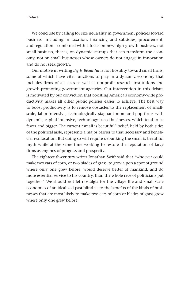**Preface ix**

We conclude by calling for size neutrality in government policies toward business—including in taxation, financing and subsidies, procurement, and regulation—combined with a focus on new high-growth business, not small business, that is, on dynamic startups that can transform the economy, not on small businesses whose owners do not engage in innovation and do not seek growth.

Our motive in writing *Big Is Beautiful* is not hostility toward small firms, some of which have vital functions to play in a dynamic economy that includes firms of all sizes as well as nonprofit research institutions and growth-promoting government agencies. Our intervention in this debate is motivated by our conviction that boosting America's economy-wide productivity makes all other public policies easier to achieve. The best way to boost productivity is to remove obstacles to the replacement of smallscale, labor-intensive, technologically stagnant mom-and-pop firms with dynamic, capital-intensive, technology-based businesses, which tend to be fewer and bigger. The current "small is beautiful" belief, held by both sides of the political aisle, represents a major barrier to that necessary and beneficial reallocation. But doing so will require debunking the small-is-beautiful myth while at the same time working to restore the reputation of large firms as engines of progress and prosperity.

The eighteenth-century writer Jonathan Swift said that "whoever could make two ears of corn, or two blades of grass, to grow upon a spot of ground where only one grew before, would deserve better of mankind, and do more essential service to his country, than the whole race of politicians put together." We should not let nostalgia for the village life and small-scale economies of an idealized past blind us to the benefits of the kinds of businesses that are most likely to make two ears of corn or blades of grass grow where only one grew before.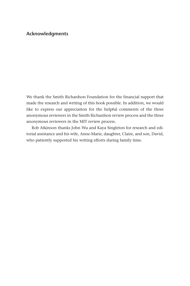## <span id="page-8-0"></span>**Acknowledgments**

We thank the Smith Richardson Foundation for the financial support that made the research and writing of this book possible. In addition, we would like to express our appreciation for the helpful comments of the three anonymous reviewers in the Smith Richardson review process and the three anonymous reviewers in the MIT review process.

Rob Atkinson thanks John Wu and Kaya Singleton for research and editorial assistance and his wife, Anne-Marie, daughter, Claire, and son, David, who patiently supported his writing efforts during family time.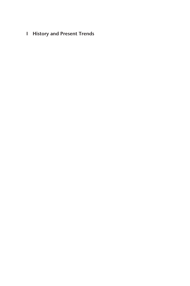# **I History and Present Trends**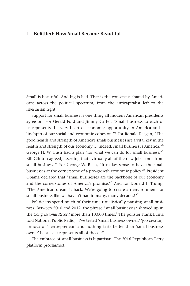#### <span id="page-10-0"></span>**1 Belittled: How Small Became Beautiful**

Small is beautiful. And big is bad. That is the consensus shared by Americans across the political spectrum, from the anticapitalist left to the libertarian right.

Support for small business is one thing all modern American presidents agree on. For Gerald Ford and Jimmy Carter, "Small business to each of us represents the very heart of economic opportunity in America and a linchpin of our social and economic cohesion."1 For Ronald Reagan, "The good health and strength of America's small businesses are a vital key in the health and strength of our economy ... indeed, small business is America."<sup>2</sup> George H. W. Bush had a plan "for what we can do for small business."<sup>3</sup> Bill Clinton agreed, asserting that "virtually all of the new jobs come from small business."<sup>4</sup> For George W. Bush, "It makes sense to have the small businesses at the cornerstone of a pro-growth economic policy."<sup>5</sup> President Obama declared that "small businesses are the backbone of our economy and the cornerstones of America's promise."6 And for Donald J. Trump, "The American dream is back. We're going to create an environment for small business like we haven't had in many, many decades!"<sup>7</sup>

Politicians spend much of their time ritualistically praising small business. Between 2010 and 2012, the phrase "small businesses" showed up in the *Congressional Record* more than 10,000 times.<sup>8</sup> The pollster Frank Luntz told National Public Radio, "I've tested 'small-business owner,' 'job creator,' 'innovator,' 'entrepreneur' and nothing tests better than 'small-business owner' because it represents all of those."9

The embrace of small business is bipartisan. The 2016 Republican Party platform proclaimed: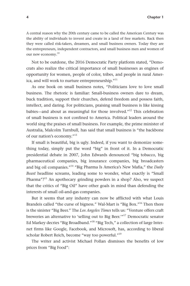A central reason why the 20th century came to be called the American Century was the ability of individuals to invent and create in a land of free markets. Back then they were called risk-takers, dreamers, and small business owners. Today they are the entrepreneurs, independent contractors, and small business men and women of our new economy.<sup>10</sup>

Not to be outdone, the 2016 Democratic Party platform stated, "Democrats also realize the critical importance of small businesses as engines of opportunity for women, people of color, tribes, and people in rural America, and will work to nurture entrepreneurship."<sup>11</sup>

As one book on small business notes, "Politicians love to love small business. The rhetoric is familiar: Small-business owners dare to dream, buck tradition, support their churches, defend freedom and possess faith, intellect, and daring. For politicians, praising small business is like kissing babies—and about as meaningful for those involved."12 This celebration of small business is not confined to America. Political leaders around the world sing the praises of small business. For example, the prime minister of Australia, Malcolm Turnbull, has said that small business is "the backbone of our nation's economy."13

If small is beautiful, big is ugly. Indeed, if you want to demonize something today, simply put the word "big" in front of it. In a Democratic presidential debate in 2007, John Edwards denounced "big tobacco, big pharmaceutical companies, big insurance companies, big broadcasters and big oil companies."14 "Big Pharma Is America's New Mafia," the *Daily Beast* headline screams, leading some to wonder, what exactly is "Small Pharma"?15 An apothecary grinding powders in a shop? Also, we suspect that the critics of "Big Oil" have other goals in mind than defending the interests of small oil-and-gas companies.

But it seems that any industry can now be afflicted with what Louis Brandeis called "the curse of bigness." Wal-Mart is "Big Box."16 Then there is the sinister "Big Beer." The *Los Angeles Times* tells us: "Venture offers craft breweries an alternative to 'selling out to Big Beer.'"17 Democratic senator Ed Markey decries "Big Broadband."18 "Big Tech," a collection of large Internet firms like Google, Facebook, and Microsoft, has, according to liberal scholar Robert Reich, become "way too powerful."19

The writer and activist Michael Pollan dismisses the benefits of low prices from "Big Food":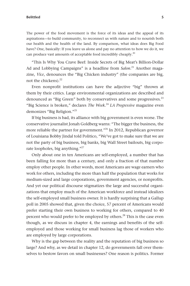The power of the food movement is the force of its ideas and the appeal of its aspirations—to build community, to reconnect us with nature and to nourish both our health and the health of the land. By comparison, what ideas does Big Food have? One, basically: If you leave us alone and pay no attention to how we do it, we can produce vast amounts of acceptable food incredibly cheaply.<sup>20</sup>

"This Is Why You Crave Beef: Inside Secrets of Big Meat's Billion-Dollar Ad and Lobbying Campaigns" is a headline from *Salon*. 21 Another magazine, *Vice*, denounces the "Big Chicken industry" (the companies are big, not the chickens). $^{22}$ 

Even nonprofit institutions can have the adjective "big" thrown at them by their critics. Large environmental organizations are described and denounced as "Big Green" both by conservatives and some progressives.<sup>23</sup> "Big Science is broken," declares *The Week*. <sup>24</sup> *LA Progressive* magazine even demonizes "Big Religion."25

If big business is bad, its alliance with big government is even worse. The conservative journalist Jonah Goldberg warns: "The bigger the business, the more reliable the partner for government."26 In 2012, Republican governor of Louisiana Bobby Jindal told Politico, "We've got to make sure that we are not the party of big business, big banks, big Wall Street bailouts, big corporate loopholes, big anything."27

Only about one in ten Americans are self-employed, a number that has been falling for more than a century, and only a fraction of that number employ other people. In other words, most Americans are wage earners who work for others, including the more than half the population that works for medium-sized and large corporations, government agencies, or nonprofits. And yet our political discourse stigmatizes the large and successful organizations that employ much of the American workforce and instead idealizes the self-employed small business owner. It is hardly surprising that a Gallup poll in 2005 showed that, given the choice, 57 percent of Americans would prefer starting their own business to working for others, compared to 40 percent who would prefer to be employed by others.<sup>28</sup> This is the case even though, as we discuss in chapter 4, the earnings and benefits of the selfemployed and those working for small business lag those of workers who are employed by large corporations.

Why is the gap between the reality and the reputation of big business so large? And why, as we detail in chapter 12, do governments fall over themselves to bestow favors on small businesses? One reason is politics. Former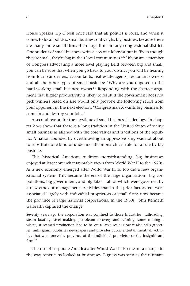House Speaker Tip O'Neil once said that all politics is local, and when it comes to local politics, small business outweighs big business because there are many more small firms than large firms in any congressional district. One student of small business writes: "As one lobbyist put it, 'Even though they're small, they're big in their local communities.'"<sup>29</sup> If you are a member of Congress advocating a more level playing field between big and small, you can be sure that when you go back to your district you will be hearing from local car dealers, accountants, real estate agents, restaurant owners, and all the other types of small business: "Why are you opposed to the hard-working small business owner?" Responding with the abstract argument that higher productivity is likely to result if the government does not pick winners based on size would only provoke the following retort from your opponent in the next election: "Congressman X wants big business to come in and destroy your jobs."

A second reason for the mystique of small business is ideology. In chapter 2 we show that there is a long tradition in the United States of seeing small business as aligned with the core values and traditions of the republic. A nation founded by overthrowing an oppressive king was not about to substitute one kind of undemocratic monarchical rule for a rule by big business.

This historical American tradition notwithstanding, big businesses enjoyed at least somewhat favorable views from World War II to the 1970s. As a new economy emerged after World War II, so too did a new organizational system. This became the era of the large organization—big corporations, big government, and big labor—all of which were governed by a new ethos of management. Activities that in the prior factory era were associated largely with individual proprietors or small firms now became the province of large national corporations. In the 1960s, John Kenneth Galbraith captured the change:

Seventy years ago the corporation was confined to those industries—railroading, steam boating, steel making, petroleum recovery and refining, some mining where, it seemed production had to be on a large scale. Now it also sells groceries, mills grain, publishes newspapers and provides public entertainment, all activities that were once the province of the individual proprietor or the insignificant firm $^{30}$ 

The rise of corporate America after World War I also meant a change in the way Americans looked at businesses. Bigness was seen as the ultimate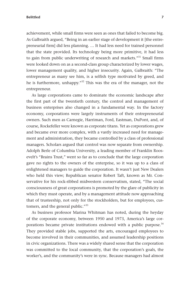achievement, while small firms were seen as ones that failed to become big. As Galbraith argued, "Being in an earlier stage of development it [the entrepreneurial firm] did less planning. … It had less need for trained personnel that the state provided. Its technology being more primitive, it had less to gain from public underwriting of research and markets."<sup>31</sup> Small firms were looked down on as a second-class group characterized by lower wages, lower management quality, and higher insecurity. Again, Galbraith: "The entrepreneur as many see him, is a selfish type motivated by greed, and he is furthermore, unhappy."32 This was the era of the manager, not the entrepreneur.

As large corporations came to dominate the economic landscape after the first part of the twentieth century, the control and management of business enterprises also changed in a fundamental way. In the factory economy, corporations were largely instruments of their entrepreneurial owners. Such men as Carnegie, Harriman, Ford, Eastman, DuPont, and, of course, Rockefeller were known as corporate titans. Yet as corporations grew and became ever more complex, with a vastly increased need for management and administration, they became controlled by a class of professional managers. Scholars argued that control was now separate from ownership. Adolph Berle of Columbia University, a leading member of Franklin Roosevelt's "Brains Trust," went so far as to conclude that the large corporation gave no rights to the owners of the enterprise, so it was up to a class of enlightened managers to guide the corporation. It wasn't just New Dealers who held this view; Republican senator Robert Taft, known as Mr. Conservative for his rock-ribbed midwestern conservatism, stated, "The social consciousness of great corporations is promoted by the glare of publicity in which they must operate, and by a management attitude now approaching that of trusteeship, not only for the stockholders, but for employees, customers, and the general public."<sup>33</sup>

As business professor Marina Whitman has noted, during the heyday of the corporate economy, between 1950 and 1973, America's large corporations became private institutions endowed with a public purpose. $34$ They provided stable jobs, supported the arts, encouraged employees to become involved in their communities, and assumed leadership positions in civic organizations. There was a widely shared sense that the corporation was committed to the local community, that the corporation's goals, the worker's, and the community's were in sync. Because managers had almost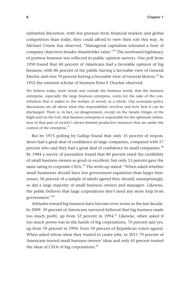unlimited discretion, with less pressure from financial markets and global competition than today, they could afford to view their role this way. As Michael Useem has observed, "Managerial capitalism tolerated a host of company objectives besides shareholder value."<sup>35</sup> The newfound legitimacy of postwar business was reflected in public opinion surveys. One poll from 1950 found that 60 percent of Americans had a favorable opinion of big business, with 86 percent of the public having a favorable view of General Electric and over 70 percent having a favorable view of General Motors.<sup>36</sup> In 1952 the eminent scholar of business Peter F. Drucker observed:

We believe today, both inside and outside the business world, that the business enterprise, especially the large business enterprise, exists for the sake of the contribution that it makes to the welfare of society as a whole. Our economic-policy discussions are all about what this responsibility involves and how best it can be discharged. There is, in fact, no disagreement, except on the lunatic fringes of the Right and on the Left, that business enterprise is responsible for the optimum utilization of that part of society's always-limited productive resources that are under the control of the enterprise.<sup>37</sup>

But by 1975 polling by Gallup found that only 35 percent of respondents had a great deal of confidence in large companies, compared with 57 percent who said they had a great deal of confidence in small companies.<sup>38</sup> By 1984 a survey of journalists found that 80 percent rated the credibility of small business owners as good or excellent, but only 53 percent gave the same rating to corporate CEOs.<sup>39</sup> The write-up stated: "When asked whether small businesses should have less government regulation than larger businesses, 56 percent of a sample of adults agreed they should; unsurprisingly, so did a large majority of small business owners and managers. Likewise, the public believes that large corporations don't need any more help from government."40

Attitudes toward big business have become even worse in the last decade. In 2009, 59 percent of Americans surveyed believed that big business made too much profit, up from 52 percent in 1994.<sup>41</sup> Likewise, when asked if too much power was in the hands of big corporations, 70 percent said yes, up from 59 percent in 1994. Even 59 percent of Republican voters agreed. When asked whose ideas they trusted to create jobs, in 2011 79 percent of Americans trusted small business owners' ideas and only 45 percent trusted the ideas of CEOs of big corporations. $42$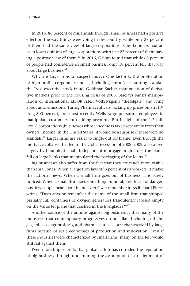In 2016, 86 percent of millennials thought small business had a positive effect on the way things were going in the country, while only 38 percent of them had the same view of large corporations. Baby boomers had an even lower opinion of large corporations, with just 27 percent of them having a positive view of them. $43$  In 2016, Gallup found that while 68 percent of people had confidence in small business, only 18 percent felt that way about large business.<sup>44</sup>

Why are large firms so suspect today? One factor is the proliferation of high-profile corporate scandals, including Enron's accounting scandal, the Tyco executive stock fraud, Goldman Sachs's manipulation of derivative markets prior to the housing crisis of 2008, Barclays bank's manipulation of international LIBOR rates, Volkswagen's "dieselgate" and lying about auto emissions, Turing Pharmaceuticals' jacking up prices on an HIV drug 500 percent, and most recently Wells Fargo pressuring employees to manipulate customers into adding accounts. But in light of the 1.7 million C corporations (businesses whose income is taxed separately from their owners' income) in the United States, it would be a surprise if there were no scandals.<sup>45</sup> Larger firms are easier to single out for blame. Even though the mortgage collapse that led to the global recession of 2008–2009 was caused largely by fraudulent small, independent mortgage originators, the blame fell on large banks that manipulated the packaging of the loans. $46$ 

Big businesses also suffer from the fact that they are much more visible than small ones. When a large firm lays off 3 percent of its workers, it makes the national news. When a small firm goes out of business, it is barely noticed. When a small firm does something immoral, unethical, or dangerous, few people hear about it and even fewer remember it. As Richard Pierce writes, "Does anyone remember the name of the small firm that shipped partially full containers of oxygen generators fraudulently labeled empty on the Value Jet plane that crashed in the Everglades?"<sup>47</sup>

Another source of the animus against big business is that many of the industries that contemporary progressives do not like—including oil and gas, tobacco, agribusiness, and pharmaceuticals—are characterized by large firms because of scale economies of production and innovation. Even if these industries were characterized by small firms, many on the left would still rail against them.

Even more important is that globalization has corroded the reputation of big business through undermining the assumption of an alignment of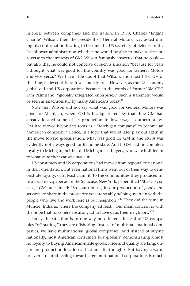interests between companies and the nation. In 1953, Charles "Engine Charlie" Wilson, then the president of General Motors, was asked during his confirmation hearing to become the US secretary of defense in the Eisenhower administration whether he would be able to make a decision adverse to the interests of GM. Wilson famously answered that he could but also that he could not conceive of such a situation "because for years I thought what was good for the country was good for General Motors and vice versa." We have little doubt that Wilson, and most US CEOs of the time, believed this, as it was mostly true. However, as the US economy globalized and US corporations became, in the words of former IBM CEO Sam Palmisano, "globally integrated enterprises," such a statement would be seen as anachronistic by many Americans today.<sup>48</sup>

Note that Wilson did not say what was good for General Motors was good for Michigan, where GM is headquartered. By that time GM had already located some of its production in lower-wage southern states. GM had moved beyond its roots as a "Michigan company" to become an "American company." Hence, in a logic that would later play out again in the move toward globalization, what was good for GM in the 1950s was evidently not always good for its home state. And if GM had no complete loyalty to Michigan, neither did Michigan car buyers, who were indifferent to what state their car was made in.

US consumers and US corporations had moved from regional to national in their orientation. But even national firms went out of their way to demonstrate loyalty, or at least claim it, to the communities they produced in. In a local newspaper ad in the Syracuse, New York, paper titled "Shake, Syracuse," GM proclaimed: "So count on us, in our production of goods and services, to share in the prosperity you are so ably helping us attain with the people who live and work here as our neighbors."49 They did the same in Muncie, Indiana, where the company ad read, "Our main concern is with the hope that folks here are also glad to have us as their neighbors."<sup>50</sup>

Today the situation is in one way no different. Instead of US companies "off-stating," they are offshoring. Instead of multistate, national companies, we have multinational, global companies. And instead of buying nationally, most American consumers buy globally, demonstrating almost no loyalty to buying American-made goods. Price and quality are king; origin and production location at best are afterthoughts. But having a warm or even a neutral feeling toward large multinational corporations is much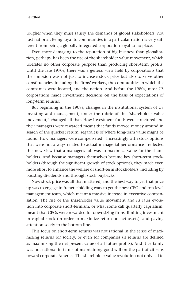tougher when they must satisfy the demands of global stakeholders, not just national. Being loyal to communities in a particular nation is very different from being a globally integrated corporation loyal to no place.

Even more damaging to the reputation of big business than globalization, perhaps, has been the rise of the shareholder value movement, which tolerates no other corporate purpose than producing short-term profits. Until the late 1970s, there was a general view held by corporations that their mission was not just to increase stock price but also to serve other constituencies, including the firms' workers, the communities in which the companies were located, and the nation. And before the 1980s, most US corporations made investment decisions on the basis of expectations of long-term returns.

But beginning in the 1908s, changes in the institutional system of US investing and management, under the rubric of the "shareholder value movement," changed all that. How investment funds were structured and their managers were rewarded meant that funds moved money around in search of the quickest return, regardless of where long-term value might be found. How managers were compensated—increasingly with stock options that were not always related to actual managerial performance—reflected this new view that a manager's job was to maximize value for the shareholders. And because managers themselves became key short-term stockholders (through the significant growth of stock options), they made even more effort to enhance the welfare of short-term stockholders, including by boosting dividends and through stock buybacks.

Now stock price was all that mattered, and the best way to get that price up was to engage in frenetic bidding wars to get the best CEO and top-level management team, which meant a massive increase in executive compensation. The rise of the shareholder value movement and its later evolution into corporate short-termism, or what some call quarterly capitalism, meant that CEOs were rewarded for downsizing firms, limiting investment in capital stock (in order to maximize return on net assets), and paying attention solely to the bottom line.

This focus on short-term returns was not rational in the sense of maximizing returns for society, or even for companies (if returns are defined as maximizing the net present value of all future profits). And it certainly was not rational in terms of maintaining good will on the part of citizens toward corporate America. The shareholder value revolution not only led to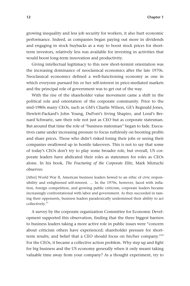growing inequality and less job security for workers, it also hurt economic performance. Indeed, as companies began paying out more in dividends and engaging in stock buybacks as a way to boost stock prices for shortterm investors, relatively less was available for investing in activities that would boost long-term innovation and productivity.

Giving intellectual legitimacy to this new short-termist orientation was the increasing dominance of neoclassical economics after the late 1970s. Neoclassical economics defined a well-functioning economy as one in which everyone pursued his or her self-interest in price-mediated markets and the principal role of government was to get out of the way.

With the rise of the shareholder value movement came a shift in the political role and orientation of the corporate community. Prior to the mid-1980s many CEOs, such as GM's Charlie Wilson, GE's Reginald Jones, Hewlett-Packard's John Young, DuPont's Irving Shapiro, and Loral's Bernard Schwartz, saw their role not just as CEO but as corporate statesman. But around that time the role of "business statesman" began to fade. Executives came under increasing pressure to focus ruthlessly on boosting profits and share prices. Those who didn't risked losing their jobs or seeing their companies swallowed up in hostile takeovers. This is not to say that some of today's CEOs don't try to play some broader role, but overall, US corporate leaders have abdicated their roles as statesmen for roles as CEOs alone. In his book, *The Fracturing of the Corporate Elite*, Mark Mizruchi observes:

[After] World War II, American business leaders hewed to an ethic of civic responsibility and enlightened self-interest. … In the 1970s, however, faced with inflation, foreign competition, and growing public criticism, corporate leaders became increasingly confrontational with labor and government. As they succeeded in taming their opponents, business leaders paradoxically undermined their ability to act collectively.<sup>51</sup>

A survey by the corporate organization Committee for Economic Development supported this observation, finding that the three biggest barriers to business leaders taking a more active role in public issues were "concern about criticism others have experienced; shareholder pressure for shortterm results; and belief that a CEO should focus on his/her company."<sup>52</sup> For the CEOs, it became a collective action problem. Why step up and fight for big business and the US economy generally when it only meant taking valuable time away from your company? As a thought experiment, try to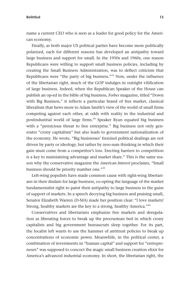name a current CEO who is seen as a leader for good policy for the American economy.

Finally, as both major US political parties have become more politically polarized, each for different reasons has developed an antipathy toward large business and support for small. In the 1950s and 1960s, one reason Republicans were willing to support small business policies, including by creating the Small Business Administration, was to deflect criticism that Republicans were "the party of big business."53 Now, under the influence of the libertarian right, much of the GOP indulges in outright vilification of large business. Indeed, when the Republican Speaker of the House can publish an op-ed in the bible of big business, *Forbes* magazine, titled "Down with Big Business," it reflects a particular brand of free market, classical liberalism that hews more to Adam Smith's view of the world of small firms competing against each other, at odds with reality in the industrial and postindustrial world of large firms.<sup>54</sup> Speaker Ryan equated big business with a "pernicious threat to free enterprise." Big business not only generates "crony capitalism" but also leads to government nationalization of the economy. He wrote, "Big businesses' frenzied political dealings are not driven by party or ideology, but rather by zero-sum thinking in which their gain must come from a competitor's loss. Erecting barriers to competition is a key to maintaining advantage and market share." This is the same reason why the conservative magazine the *American Interest* proclaims, "Small business should be priority number one."<sup>55</sup>

Left-wing populists have made common cause with right-wing libertarians in their disdain for large business, co-opting the language of the market fundamentalist right to paint their antipathy to large business in the guise of support of markets. In a speech decrying big business and praising small, Senator Elizabeth Warren (D-MA) made her position clear: "I love markets! Strong, healthy markets are the key to a strong, healthy America."56

Conservatives and libertarians emphasize free markets and deregulation as liberating forces to break up the procrustean bed in which crony capitalists and big government bureaucrats sleep together. For its part, the localist left wants to use the hammer of antitrust policies to break up concentrations of economic power. Meanwhile, in the political center, a combination of investments in "human capital" and support for "entrepreneurs" was supposed to concoct the magic small business creation elixir for America's advanced industrial economy. In short, the libertarian right, the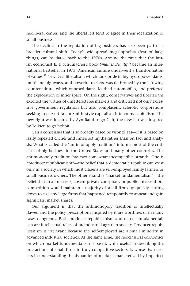neoliberal center, and the liberal left tend to agree in their idealization of small business.

The decline in the reputation of big business has also been part of a broader cultural shift. Today's widespread megalophobia (fear of large things) can be dated back to the 1970s. Around the time that the British economist E. F. Schumacher's book *Small Is Beautiful* became an international bestseller in 1973, American culture underwent a transformation of values.57 New Deal liberalism, which took pride in big hydropower dams, multilane highways, and powerful rockets, was dethroned by the left-wing counterculture, which opposed dams, loathed automobiles, and preferred the exploration of inner space. On the right, conservatives and libertarians extolled the virtues of unfettered free markets and criticized not only excessive government regulation but also complacent, sclerotic corporations seeking to pervert Adam Smith–style capitalism into crony capitalism. The new right was inspired by Ayn Rand to go Galt; the new left was inspired by Tolkien to go hobbit.

Can a consensus that is so broadly based be wrong? Yes—if it is based on lazily repeated clichés and inherited myths rather than on fact and analysis. What is called the "antimonopoly tradition" informs most of the criticism of big business in the United States and many other countries. The antimonopoly tradition has two somewhat incompatible strands. One is "producer republicanism"—the belief that a democratic republic can exist only in a society in which most citizens are self-employed family farmers or small business owners. The other strand is "market fundamentalism"—the belief that in all markets, absent private conspiracy or public intervention, competition would maintain a majority of small firms by quickly cutting down to size any large firms that happened temporarily to appear and gain significant market shares.

Our argument is that the antimonopoly tradition is intellectually flawed and the policy prescriptions inspired by it are worthless or in many cases dangerous. Both producer republicanism and market fundamentalism are intellectual relics of preindustrial agrarian society. Producer republicanism is irrelevant because the self-employed are a small minority in advanced industrial societies. At the same time, the neoclassical economics on which market fundamentalism is based, while useful in describing the interactions of small firms in truly competitive sectors, is worse than useless in understanding the dynamics of markets characterized by imperfect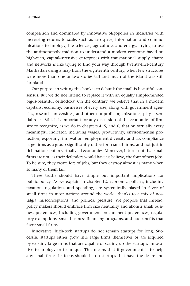competition and dominated by innovative oligopolies in industries with increasing returns to scale, such as aerospace, information and communications technology, life sciences, agriculture, and energy. Trying to use the antimonopoly tradition to understand a modern economy based on high-tech, capital-intensive enterprises with transnational supply chains and networks is like trying to find your way through twenty-first-century Manhattan using a map from the eighteenth century, when few structures were more than one or two stories tall and much of the island was still farmland.

Our purpose in writing this book is to debunk the small-is-beautiful consensus. But we do not intend to replace it with an equally simple-minded big-is-beautiful orthodoxy. On the contrary, we believe that in a modern capitalist economy, businesses of every size, along with government agencies, research universities, and other nonprofit organizations, play essential roles. Still, it is important for any discussion of the economics of firm size to recognize, as we do in chapters 4, 5, and 6, that on virtually every meaningful indicator, including wages, productivity, environmental protection, exporting, innovation, employment diversity and tax compliance large firms as a group significantly outperform small firms, and not just in rich nations but in virtually all economies. Moreover, it turns out that small firms are not, as their defenders would have us believe, the font of new jobs. To be sure, they create lots of jobs, but they destroy almost as many when so many of them fail.

These truths should have simple but important implications for public policy. As we explain in chapter 12, economic policies, including taxation, regulation, and spending, are systemically biased in favor of small firms in most nations around the world, thanks to a mix of nostalgia, misconceptions, and political pressure. We propose that instead, policy makers should embrace firm size neutrality and abolish small business preferences, including government procurement preferences, regulatory exemptions, small business financing programs, and tax benefits that favor small firms.

Innovative, high-tech startups do not remain startups for long. Successful startups either grow into large firms themselves or are acquired by existing large firms that are capable of scaling up the startup's innovative technology or technique. This means that if government is to help any small firms, its focus should be on startups that have the desire and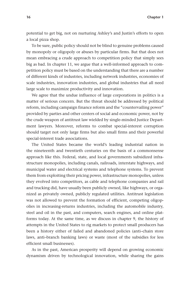potential to get big, not on nurturing Ashley's and Justin's efforts to open a local pizza shop.

To be sure, public policy should not be blind to genuine problems caused by monopoly or oligopoly or abuses by particular firms. But that does not mean embracing a crude approach to competition policy that simply sees big as bad. In chapter 11, we argue that a well-informed approach to competition policy must be based on the understanding that there are a number of different kinds of industries, including network industries, economies of scale industries, innovation industries, and global industries that all need large scale to maximize productivity and innovation.

We agree that the undue influence of large corporations in politics is a matter of serious concern. But the threat should be addressed by political reform, including campaign finance reform and the "countervailing power" provided by parties and other centers of social and economic power, not by the crude weapon of antitrust law wielded by single-minded Justice Department lawyers. Moreover, reforms to combat special-interest corruption should target not only large firms but also small firms and their powerful special-interest trade associations.

The United States became the world's leading industrial nation in the nineteenth and twentieth centuries on the basis of a commonsense approach like this. Federal, state, and local governments subsidized infrastructure monopolies, including canals, railroads, interstate highways, and municipal water and electrical systems and telephone systems. To prevent them from exploiting their pricing power, infrastructure monopolies, unless they evolved into competitors, as cable and telephone companies and rail and trucking did, have usually been publicly owned, like highways, or organized as privately owned, publicly regulated utilities. Antitrust legislation was not allowed to prevent the formation of efficient, competing oligopolies in increasing-returns industries, including the automobile industry, steel and oil in the past, and computers, search engines, and online platforms today. At the same time, as we discuss in chapter 9, the history of attempts in the United States to rig markets to protect small producers has been a history either of failed and abandoned policies (anti–chain store laws, anti–branch banking laws) or waste (most of the subsidies for less efficient small businesses).

As in the past, American prosperity will depend on growing economic dynamism driven by technological innovation, while sharing the gains